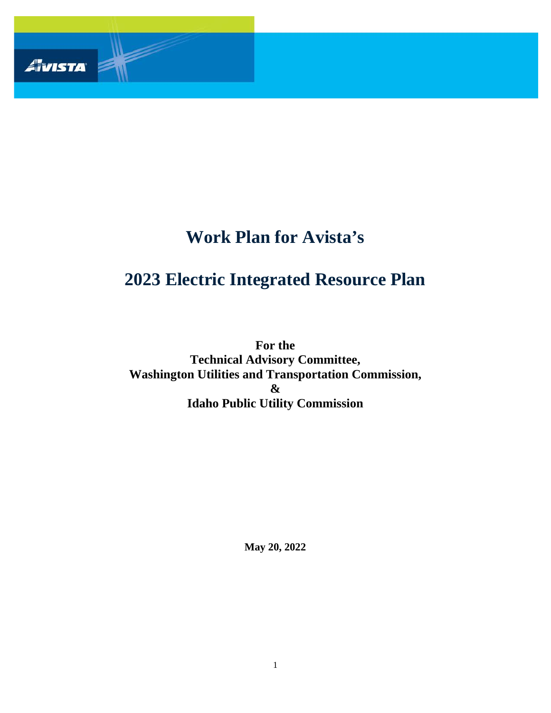

# **Work Plan for Avista's**

# **2023 Electric Integrated Resource Plan**

**For the Technical Advisory Committee, Washington Utilities and Transportation Commission, & Idaho Public Utility Commission**

**May 20, 2022**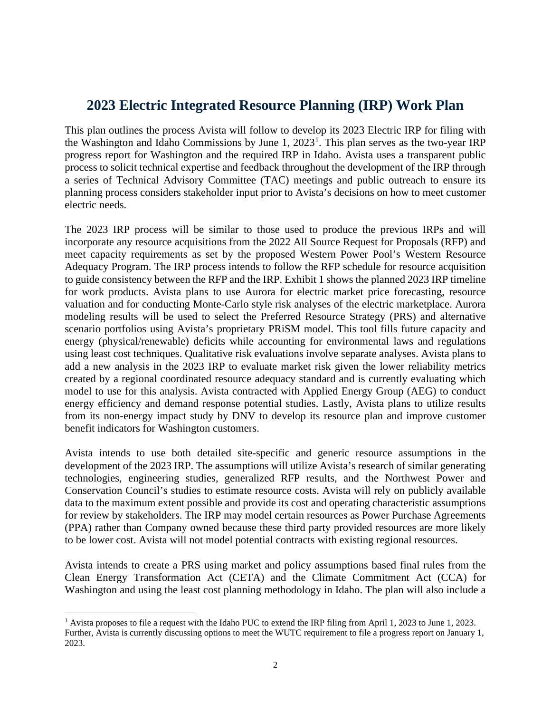# **2023 Electric Integrated Resource Planning (IRP) Work Plan**

This plan outlines the process Avista will follow to develop its 2023 Electric IRP for filing with the Washington and Idaho Commissions by June [1](#page-1-0), 2023<sup>1</sup>. This plan serves as the two-year IRP progress report for Washington and the required IRP in Idaho. Avista uses a transparent public process to solicit technical expertise and feedback throughout the development of the IRP through a series of Technical Advisory Committee (TAC) meetings and public outreach to ensure its planning process considers stakeholder input prior to Avista's decisions on how to meet customer electric needs.

The 2023 IRP process will be similar to those used to produce the previous IRPs and will incorporate any resource acquisitions from the 2022 All Source Request for Proposals (RFP) and meet capacity requirements as set by the proposed Western Power Pool's Western Resource Adequacy Program. The IRP process intends to follow the RFP schedule for resource acquisition to guide consistency between the RFP and the IRP. Exhibit 1 shows the planned 2023 IRP timeline for work products. Avista plans to use Aurora for electric market price forecasting, resource valuation and for conducting Monte-Carlo style risk analyses of the electric marketplace. Aurora modeling results will be used to select the Preferred Resource Strategy (PRS) and alternative scenario portfolios using Avista's proprietary PRiSM model. This tool fills future capacity and energy (physical/renewable) deficits while accounting for environmental laws and regulations using least cost techniques. Qualitative risk evaluations involve separate analyses. Avista plans to add a new analysis in the 2023 IRP to evaluate market risk given the lower reliability metrics created by a regional coordinated resource adequacy standard and is currently evaluating which model to use for this analysis. Avista contracted with Applied Energy Group (AEG) to conduct energy efficiency and demand response potential studies. Lastly, Avista plans to utilize results from its non-energy impact study by DNV to develop its resource plan and improve customer benefit indicators for Washington customers.

Avista intends to use both detailed site-specific and generic resource assumptions in the development of the 2023 IRP. The assumptions will utilize Avista's research of similar generating technologies, engineering studies, generalized RFP results, and the Northwest Power and Conservation Council's studies to estimate resource costs. Avista will rely on publicly available data to the maximum extent possible and provide its cost and operating characteristic assumptions for review by stakeholders. The IRP may model certain resources as Power Purchase Agreements (PPA) rather than Company owned because these third party provided resources are more likely to be lower cost. Avista will not model potential contracts with existing regional resources.

Avista intends to create a PRS using market and policy assumptions based final rules from the Clean Energy Transformation Act (CETA) and the Climate Commitment Act (CCA) for Washington and using the least cost planning methodology in Idaho. The plan will also include a

<span id="page-1-0"></span><sup>&</sup>lt;sup>1</sup> Avista proposes to file a request with the Idaho PUC to extend the IRP filing from April 1, 2023 to June 1, 2023. Further, Avista is currently discussing options to meet the WUTC requirement to file a progress report on January 1, 2023.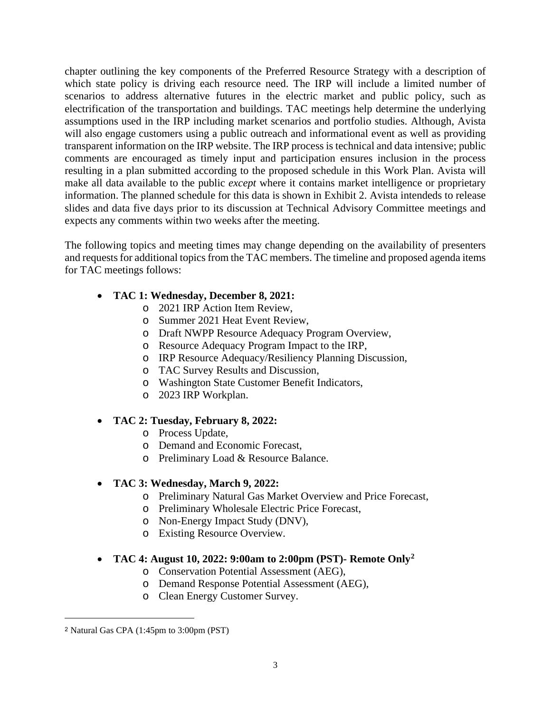chapter outlining the key components of the Preferred Resource Strategy with a description of which state policy is driving each resource need. The IRP will include a limited number of scenarios to address alternative futures in the electric market and public policy, such as electrification of the transportation and buildings. TAC meetings help determine the underlying assumptions used in the IRP including market scenarios and portfolio studies. Although, Avista will also engage customers using a public outreach and informational event as well as providing transparent information on the IRP website. The IRP process is technical and data intensive; public comments are encouraged as timely input and participation ensures inclusion in the process resulting in a plan submitted according to the proposed schedule in this Work Plan. Avista will make all data available to the public *except* where it contains market intelligence or proprietary information. The planned schedule for this data is shown in Exhibit 2. Avista intendeds to release slides and data five days prior to its discussion at Technical Advisory Committee meetings and expects any comments within two weeks after the meeting.

The following topics and meeting times may change depending on the availability of presenters and requests for additional topics from the TAC members. The timeline and proposed agenda items for TAC meetings follows:

# • **TAC 1: Wednesday, December 8, 2021:**

- o 2021 IRP Action Item Review,
- o Summer 2021 Heat Event Review,
- o Draft NWPP Resource Adequacy Program Overview,
- o Resource Adequacy Program Impact to the IRP,
- o IRP Resource Adequacy/Resiliency Planning Discussion,
- o TAC Survey Results and Discussion,
- o Washington State Customer Benefit Indicators,
- o 2023 IRP Workplan.

# • **TAC 2: Tuesday, February 8, 2022:**

- o Process Update,
- o Demand and Economic Forecast,
- o Preliminary Load & Resource Balance.

# • **TAC 3: Wednesday, March 9, 2022:**

- o Preliminary Natural Gas Market Overview and Price Forecast,
- o Preliminary Wholesale Electric Price Forecast,
- o Non-Energy Impact Study (DNV),
- o Existing Resource Overview.

#### • **TAC 4: August 10, 2022: 9:00am to 2:00pm (PST)- Remote Only[2](#page-2-0)**

- o Conservation Potential Assessment (AEG),
- o Demand Response Potential Assessment (AEG),
- o Clean Energy Customer Survey.

<span id="page-2-0"></span><sup>2</sup> Natural Gas CPA (1:45pm to 3:00pm (PST)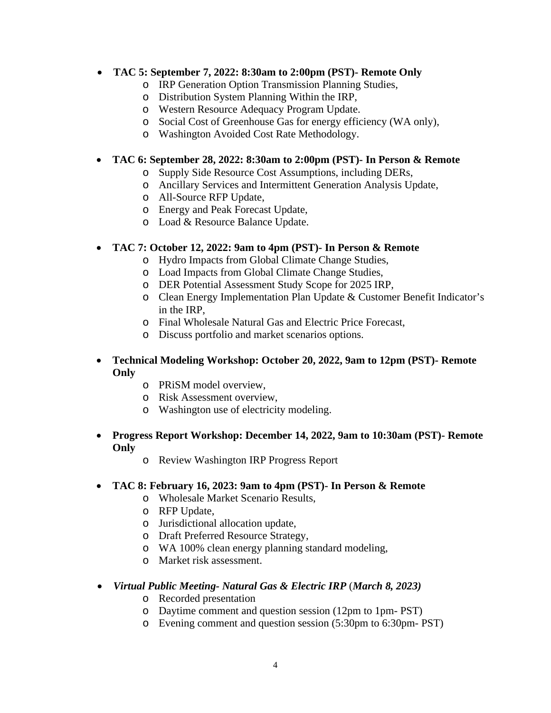# • **TAC 5: September 7, 2022: 8:30am to 2:00pm (PST)- Remote Only**

- o IRP Generation Option Transmission Planning Studies,
- o Distribution System Planning Within the IRP,
- o Western Resource Adequacy Program Update.
- o Social Cost of Greenhouse Gas for energy efficiency (WA only),
- o Washington Avoided Cost Rate Methodology.

# • **TAC 6: September 28, 2022: 8:30am to 2:00pm (PST)- In Person & Remote**

- o Supply Side Resource Cost Assumptions, including DERs,
- o Ancillary Services and Intermittent Generation Analysis Update,
- o All-Source RFP Update,
- o Energy and Peak Forecast Update,
- o Load & Resource Balance Update.

# • **TAC 7: October 12, 2022: 9am to 4pm (PST)- In Person & Remote**

- o Hydro Impacts from Global Climate Change Studies,
- o Load Impacts from Global Climate Change Studies,
- o DER Potential Assessment Study Scope for 2025 IRP,
- o Clean Energy Implementation Plan Update & Customer Benefit Indicator's in the IRP,
- o Final Wholesale Natural Gas and Electric Price Forecast,
- o Discuss portfolio and market scenarios options.

# • **Technical Modeling Workshop: October 20, 2022, 9am to 12pm (PST)- Remote Only**

- o PRiSM model overview,
- o Risk Assessment overview,
- o Washington use of electricity modeling.

#### • **Progress Report Workshop: December 14, 2022, 9am to 10:30am (PST)- Remote Only**

o Review Washington IRP Progress Report

# • **TAC 8: February 16, 2023: 9am to 4pm (PST)- In Person & Remote**

- o Wholesale Market Scenario Results,
- o RFP Update,
- o Jurisdictional allocation update,
- o Draft Preferred Resource Strategy,
- o WA 100% clean energy planning standard modeling,
- o Market risk assessment.

# • *Virtual Public Meeting- Natural Gas & Electric IRP* (*March 8, 2023)*

- o Recorded presentation
- o Daytime comment and question session (12pm to 1pm- PST)
- o Evening comment and question session (5:30pm to 6:30pm- PST)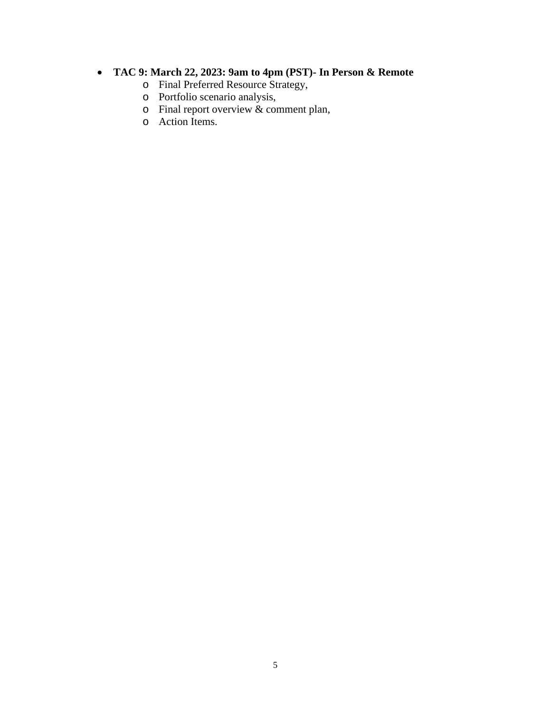### • **TAC 9: March 22, 2023: 9am to 4pm (PST)- In Person & Remote**

- o Final Preferred Resource Strategy,
- o Portfolio scenario analysis,
- o Final report overview & comment plan,
- o Action Items.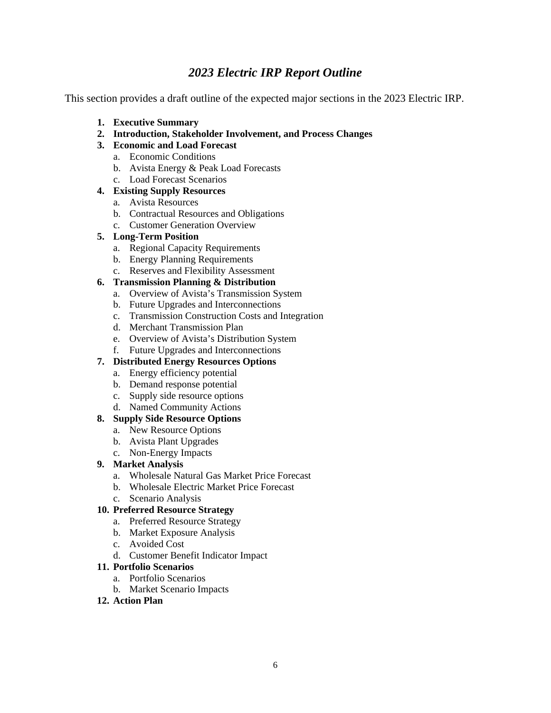# *2023 Electric IRP Report Outline*

This section provides a draft outline of the expected major sections in the 2023 Electric IRP.

- **1. Executive Summary**
- **2. Introduction, Stakeholder Involvement, and Process Changes**
- **3. Economic and Load Forecast**
	- a. Economic Conditions
	- b. Avista Energy & Peak Load Forecasts
	- c. Load Forecast Scenarios

#### **4. Existing Supply Resources**

- a. Avista Resources
- b. Contractual Resources and Obligations
- c. Customer Generation Overview

#### **5. Long-Term Position**

- a. Regional Capacity Requirements
- b. Energy Planning Requirements
- c. Reserves and Flexibility Assessment

#### **6. Transmission Planning & Distribution**

- a. Overview of Avista's Transmission System
- b. Future Upgrades and Interconnections
- c. Transmission Construction Costs and Integration
- d. Merchant Transmission Plan
- e. Overview of Avista's Distribution System
- f. Future Upgrades and Interconnections

#### **7. Distributed Energy Resources Options**

- a. Energy efficiency potential
- b. Demand response potential
- c. Supply side resource options
- d. Named Community Actions

#### **8. Supply Side Resource Options**

- a. New Resource Options
- b. Avista Plant Upgrades
- c. Non-Energy Impacts

#### **9. Market Analysis**

- a. Wholesale Natural Gas Market Price Forecast
- b. Wholesale Electric Market Price Forecast
- c. Scenario Analysis

#### **10. Preferred Resource Strategy**

- a. Preferred Resource Strategy
- b. Market Exposure Analysis
- c. Avoided Cost
- d. Customer Benefit Indicator Impact

#### **11. Portfolio Scenarios**

- a. Portfolio Scenarios
- b. Market Scenario Impacts

#### **12. Action Plan**